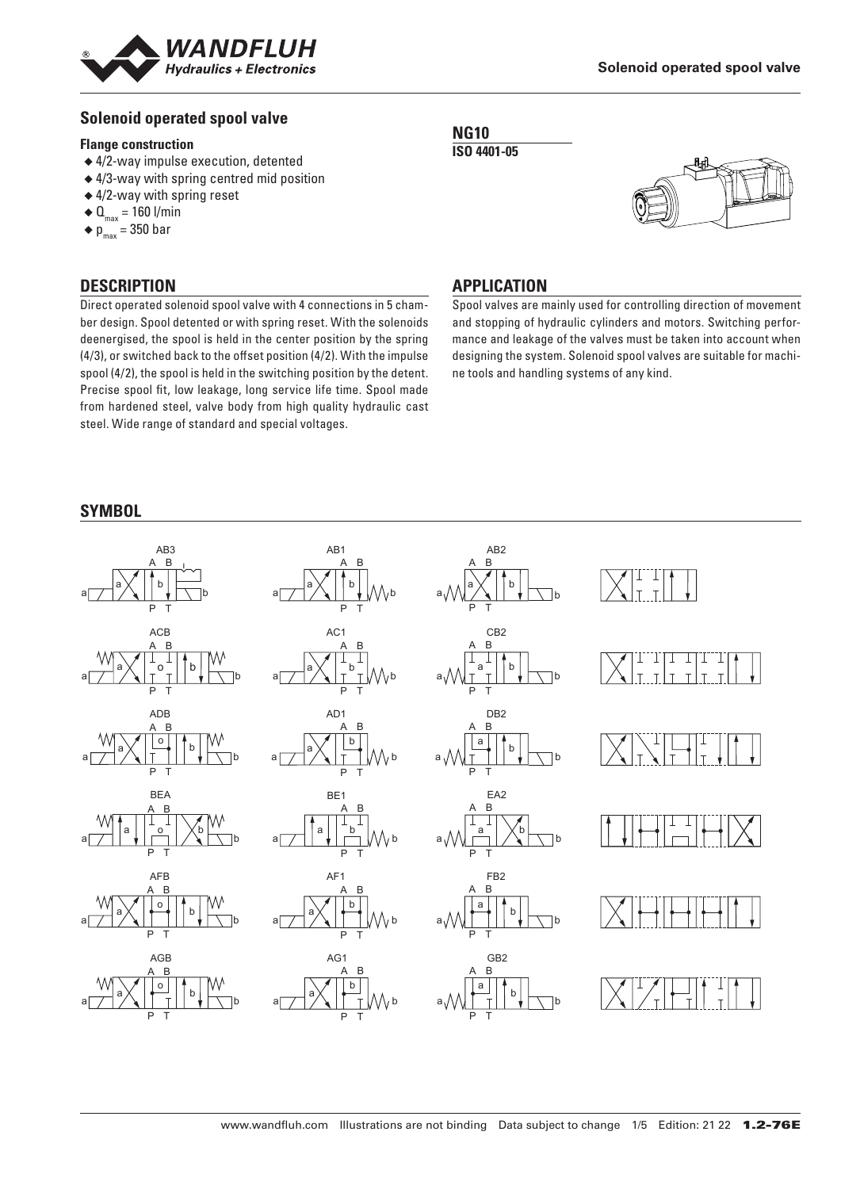

## **Solenoid operated spool valve**

#### **Flange construction**

- ◆ 4/2-way impulse execution, detented
- ◆ 4/3-way with spring centred mid position
- ◆ 4/2-way with spring reset
- $\triangleleft$  Q<sub>max</sub> = 160 l/min
- $\bullet$  p<sub>max</sub> = 350 bar

## **DESCRIPTION**

Direct operated solenoid spool valve with 4 connections in 5 chamber design. Spool detented or with spring reset. With the solenoids deenergised, the spool is held in the center position by the spring (4/3), or switched back to the offset position (4/2). With the impulse spool (4/2), the spool is held in the switching position by the detent. Precise spool fit, low leakage, long service life time. Spool made from hardened steel, valve body from high quality hydraulic cast steel. Wide range of standard and special voltages.





## **APPLICATION**

Spool valves are mainly used for controlling direction of movement and stopping of hydraulic cylinders and motors. Switching performance and leakage of the valves must be taken into account when designing the system. Solenoid spool valves are suitable for machine tools and handling systems of any kind.

### **SYMBOL**

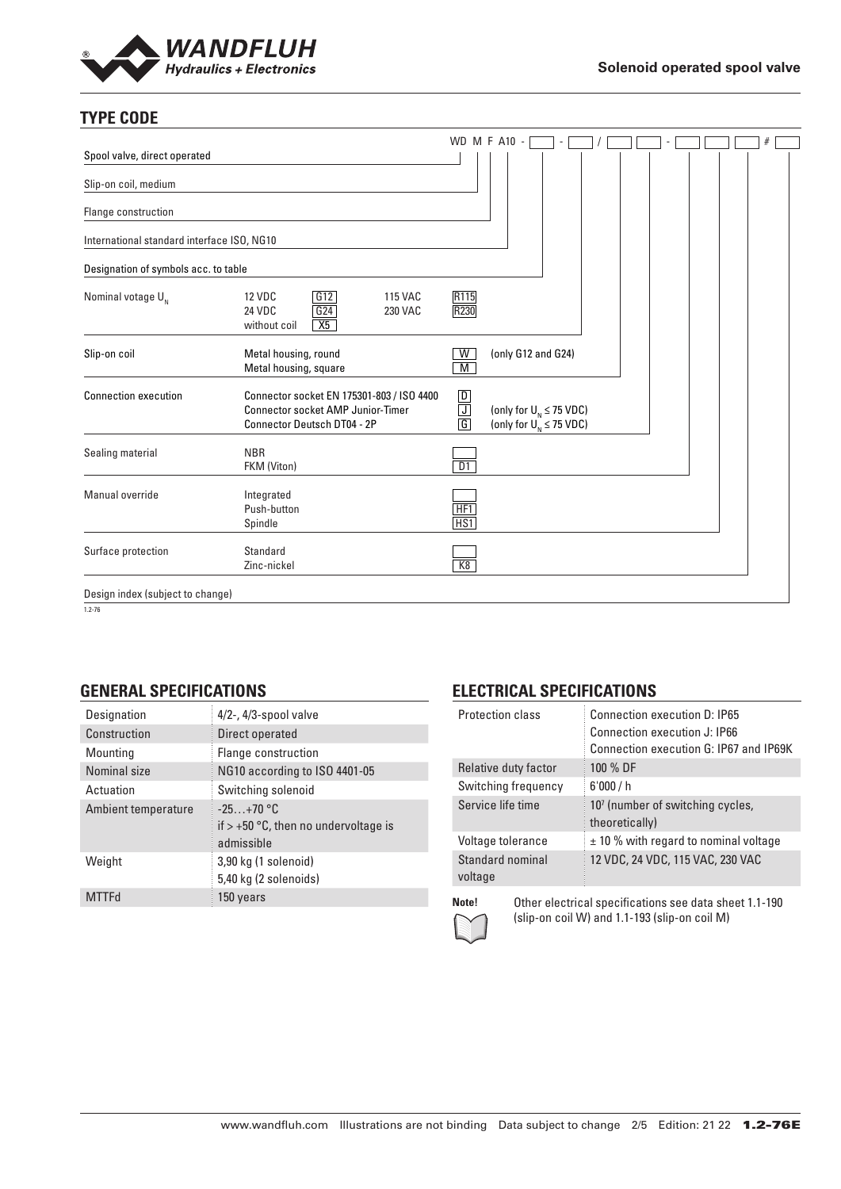

# **TYPE CODE**

|                                            |                                                                                                                             |                                                                                       | <b>WD M F A10 -</b>                                            |  |  |  |  |
|--------------------------------------------|-----------------------------------------------------------------------------------------------------------------------------|---------------------------------------------------------------------------------------|----------------------------------------------------------------|--|--|--|--|
| Spool valve, direct operated               |                                                                                                                             |                                                                                       |                                                                |  |  |  |  |
| Slip-on coil, medium                       |                                                                                                                             |                                                                                       |                                                                |  |  |  |  |
| Flange construction                        |                                                                                                                             |                                                                                       |                                                                |  |  |  |  |
| International standard interface ISO, NG10 |                                                                                                                             |                                                                                       |                                                                |  |  |  |  |
| Designation of symbols acc. to table       |                                                                                                                             |                                                                                       |                                                                |  |  |  |  |
| Nominal votage $U_{N}$                     | G12<br><b>12 VDC</b><br><b>115 VAC</b><br>G24<br>24 VDC<br>230 VAC<br>X5<br>without coil                                    | R115<br>R230                                                                          |                                                                |  |  |  |  |
| Slip-on coil                               | Metal housing, round<br>Metal housing, square                                                                               | W<br>M                                                                                | (only G12 and G24)                                             |  |  |  |  |
| <b>Connection execution</b>                | Connector socket EN 175301-803 / ISO 4400<br><b>Connector socket AMP Junior-Timer</b><br><b>Connector Deutsch DT04 - 2P</b> | $\boxed{\mathsf{D}}$<br>$\overline{\mathsf{J}}$<br>$\overline{\overline{\mathsf{G}}}$ | (only for $U_{N} \leq 75$ VDC)<br>(only for $U_N \leq 75$ VDC) |  |  |  |  |
| Sealing material                           | <b>NBR</b><br>FKM (Viton)                                                                                                   | DT                                                                                    |                                                                |  |  |  |  |
| Manual override                            | Integrated<br>Push-button<br>Spindle                                                                                        | HF1<br>HS <sub>1</sub>                                                                |                                                                |  |  |  |  |
| Surface protection                         | Standard<br>Zinc-nickel                                                                                                     | K8                                                                                    |                                                                |  |  |  |  |
| Design index (subject to change)           |                                                                                                                             |                                                                                       |                                                                |  |  |  |  |

1.2-76

### **GENERAL SPECIFICATIONS**

| Designation         | $4/2$ -, $4/3$ -spool valve                                         |
|---------------------|---------------------------------------------------------------------|
| Construction        | Direct operated                                                     |
| Mounting            | Flange construction                                                 |
| Nominal size        | NG10 according to ISO 4401-05                                       |
| Actuation           | Switching solenoid                                                  |
| Ambient temperature | $-25+70$ °C<br>if $> +50$ °C, then no undervoltage is<br>admissible |
| Weight              | 3,90 kg (1 solenoid)<br>5,40 kg (2 solenoids)                       |
| <b>MTTFd</b>        | 150 years                                                           |

# **ELECTRICAL SPECIFICATIONS**

| <b>Protection class</b>     | Connection execution D: IP65<br>Connection execution J: IP66<br>Connection execution G: IP67 and IP69K |
|-----------------------------|--------------------------------------------------------------------------------------------------------|
| Relative duty factor        | 100 % DF                                                                                               |
| Switching frequency         | 6'000/h                                                                                                |
| Service life time           | 10 <sup>7</sup> (number of switching cycles,<br>theoretically)                                         |
| Voltage tolerance           | $\pm$ 10 % with regard to nominal voltage                                                              |
| Standard nominal<br>voltage | 12 VDC, 24 VDC, 115 VAC, 230 VAC                                                                       |
|                             |                                                                                                        |



**Note!** Other electrical specifications see data sheet 1.1-190 (slip-on coil W) and 1.1-193 (slip-on coil M)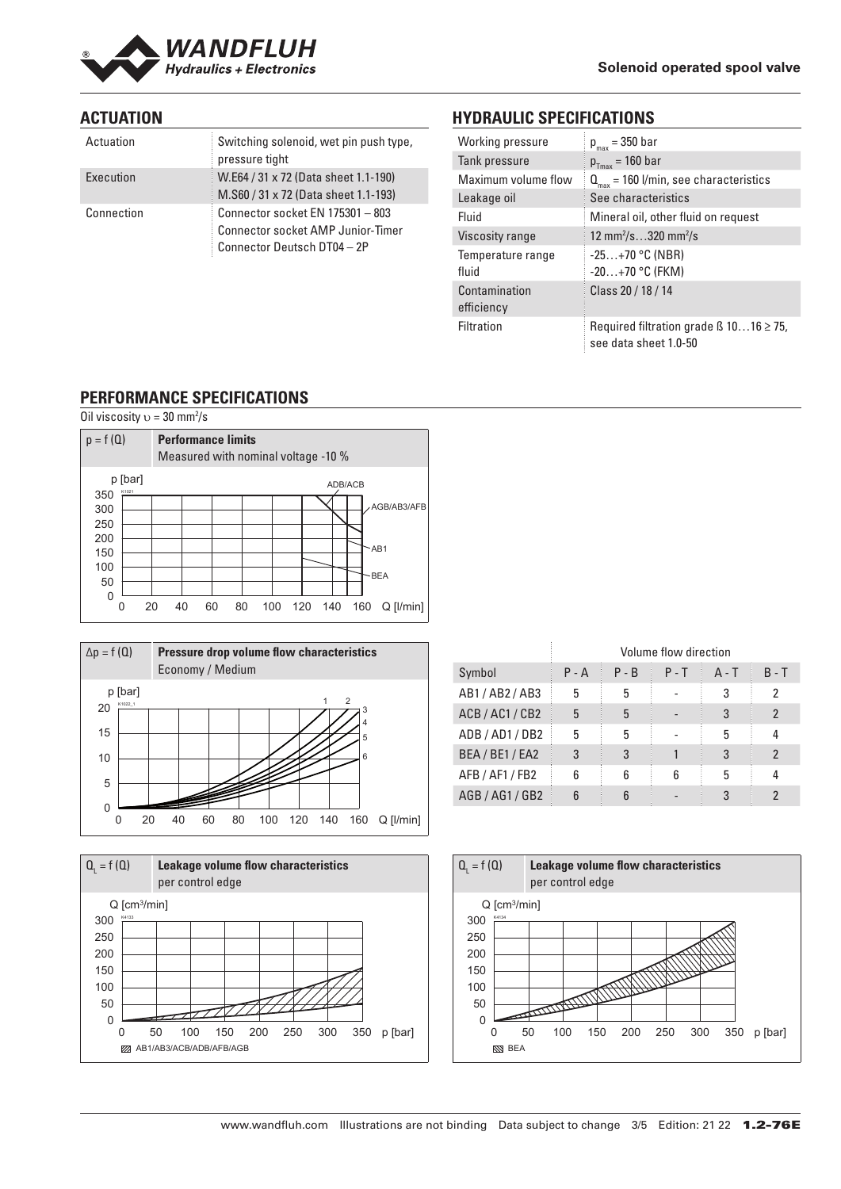

## **ACTUATION**

| Actuation  | Switching solenoid, wet pin push type,<br>pressure tight                                                    |
|------------|-------------------------------------------------------------------------------------------------------------|
| Execution  | W.E64 / 31 x 72 (Data sheet 1.1-190)<br>M.S60 / 31 x 72 (Data sheet 1.1-193)                                |
| Connection | Connector socket EN 175301 - 803<br><b>Connector socket AMP Junior-Timer</b><br>Connector Deutsch DT04 - 2P |

# **HYDRAULIC SPECIFICATIONS**

| Working pressure            | $p_{max} = 350$ bar                                                        |
|-----------------------------|----------------------------------------------------------------------------|
| Tank pressure               | $p_{Tmax} = 160$ bar                                                       |
| Maximum volume flow         | $Q_{\text{max}}$ = 160 l/min, see characteristics                          |
| Leakage oil                 | See characteristics                                                        |
| Fluid                       | Mineral oil, other fluid on request                                        |
| Viscosity range             | 12 mm <sup>2</sup> /s320 mm <sup>2</sup> /s                                |
| Temperature range<br>fluid  | $-25+70$ °C (NBR)<br>$-20+70$ °C (FKM)                                     |
| Contamination<br>efficiency | Class 20 / 18 / 14                                                         |
| Filtration                  | Required filtration grade $\beta$ 1016 $\geq$ 75,<br>see data sheet 1.0-50 |

### **PERFORMANCE SPECIFICATIONS**







|                 | Volume flow direction |         |         |         |                |
|-----------------|-----------------------|---------|---------|---------|----------------|
| Symbol          | $P - A$               | $P - B$ | $P - T$ | $A - T$ | $B - T$        |
| AB1/AB2/AB3     | 5                     | 5       |         |         | 2              |
| ACB / AC1 / CB2 | 5                     | 5       |         | 3       | 2              |
| ADB / AD1 / DB2 | 5                     | 5       |         | 5       | 4              |
| BEA / BE1 / EA2 | 3                     | 3       |         |         | $\mathfrak{p}$ |
| AFB / AF1 / FB2 | հ                     | 6       | 6       | 5       | 4              |
| AGB / AG1 / GB2 |                       |         |         |         | 2              |

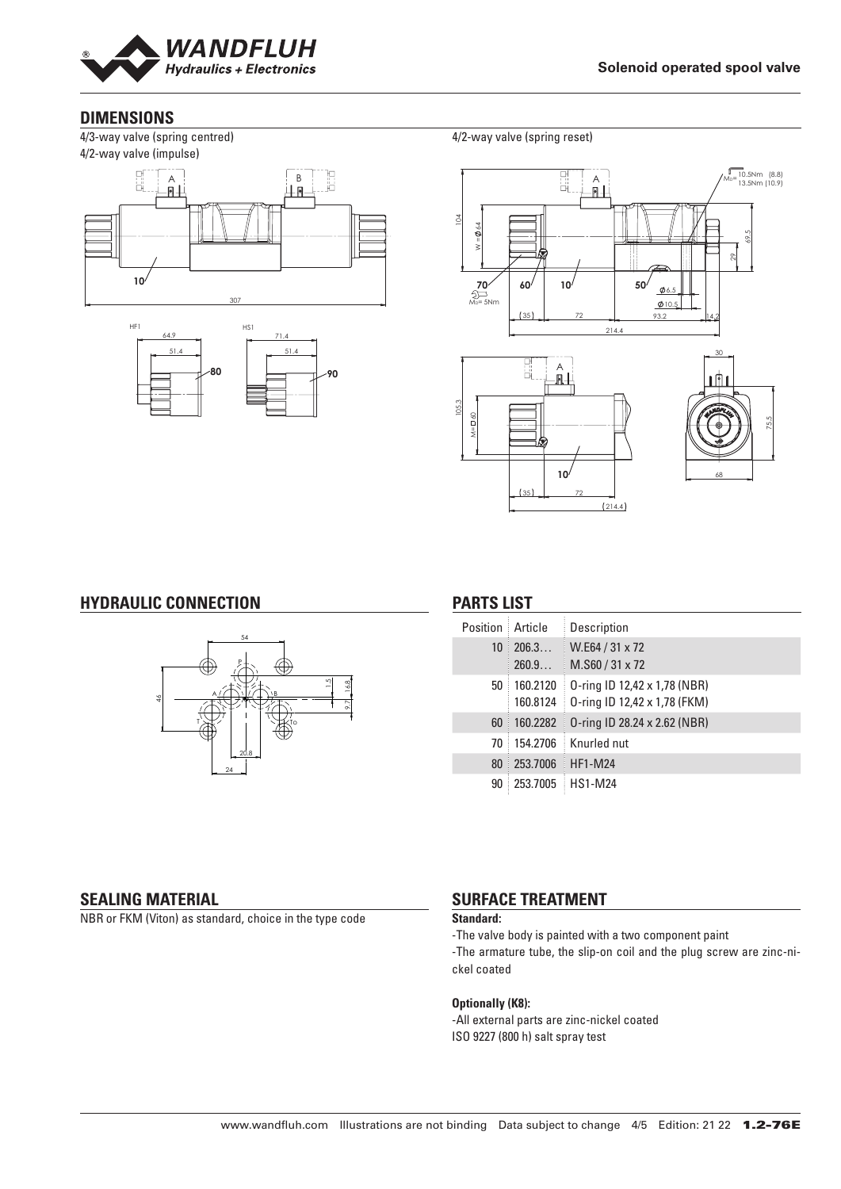

### **DIMENSIONS**

4/3-way valve (spring centred) 4/2-way valve (impulse)





4/2-way valve (spring reset)



#### **HYDRAULIC CONNECTION**



## **PARTS LIST**

| Position        | Article              | Description                                                  |
|-----------------|----------------------|--------------------------------------------------------------|
| 10 <sup>1</sup> | 206.3<br>260.9       | W.E64 / 31 x 72<br>M.S60/31 x 72                             |
| 50              | 160.2120<br>160.8124 | 0-ring ID 12,42 x 1,78 (NBR)<br>0-ring ID 12,42 x 1,78 (FKM) |
| 60              | 160.2282             | 0-ring ID 28.24 x 2.62 (NBR)                                 |
| 70              | 154.2706             | Knurled nut                                                  |
| 80              | 253.7006             | <b>HF1-M24</b>                                               |
| 90              | 253.7005             | <b>HS1-M24</b>                                               |

#### **SEALING MATERIAL**

NBR or FKM (Viton) as standard, choice in the type code

# **SURFACE TREATMENT**

#### **Standard:**

-The valve body is painted with a two component paint

-The armature tube, the slip-on coil and the plug screw are zinc-nickel coated

#### **Optionally (K8):**

-All external parts are zinc-nickel coated ISO 9227 (800 h) salt spray test